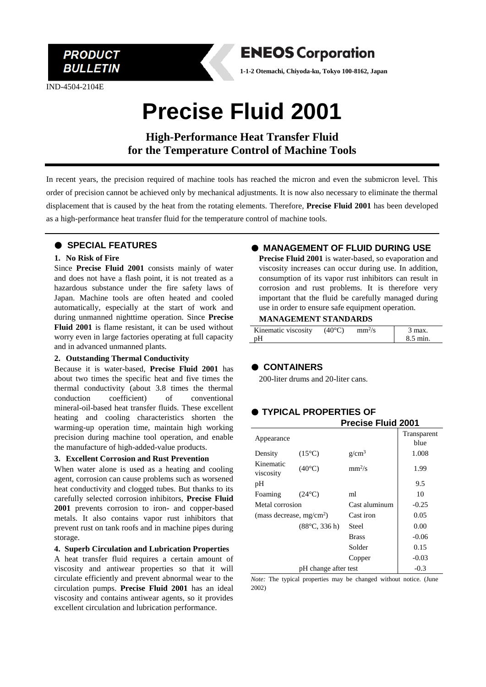

IND-4504-2104E



**1-1-2 Otemachi, Chiyoda-ku, Tokyo 100-8162, Japan**

# **Precise Fluid 2001**

**High-Performance Heat Transfer Fluid for the Temperature Control of Machine Tools**

In recent years, the precision required of machine tools has reached the micron and even the submicron level. This order of precision cannot be achieved only by mechanical adjustments. It is now also necessary to eliminate the thermal displacement that is caused by the heat from the rotating elements. Therefore, **Precise Fluid 2001** has been developed as a high-performance heat transfer fluid for the temperature control of machine tools.

# ● **SPECIAL FEATURES**

# **1. No Risk of Fire**

Since **Precise Fluid 2001** consists mainly of water and does not have a flash point, it is not treated as a hazardous substance under the fire safety laws of Japan. Machine tools are often heated and cooled automatically, especially at the start of work and during unmanned nighttime operation. Since **Precise Fluid 2001** is flame resistant, it can be used without worry even in large factories operating at full capacity and in advanced unmanned plants.

# **2. Outstanding Thermal Conductivity**

Because it is water-based, **Precise Fluid 2001** has about two times the specific heat and five times the thermal conductivity (about 3.8 times the thermal conduction coefficient) of conventional mineral-oil-based heat transfer fluids. These excellent heating and cooling characteristics shorten the warming-up operation time, maintain high working precision during machine tool operation, and enable the manufacture of high-added-value products.

# **3. Excellent Corrosion and Rust Prevention**

When water alone is used as a heating and cooling agent, corrosion can cause problems such as worsened heat conductivity and clogged tubes. But thanks to its carefully selected corrosion inhibitors, **Precise Fluid 2001** prevents corrosion to iron- and copper-based metals. It also contains vapor rust inhibitors that prevent rust on tank roofs and in machine pipes during storage.

# **4. Superb Circulation and Lubrication Properties**

A heat transfer fluid requires a certain amount of viscosity and antiwear properties so that it will circulate efficiently and prevent abnormal wear to the circulation pumps. **Precise Fluid 2001** has an ideal viscosity and contains antiwear agents, so it provides excellent circulation and lubrication performance.

# ● **MANAGEMENT OF FLUID DURING USE**

**Precise Fluid 2001** is water-based, so evaporation and viscosity increases can occur during use. In addition, consumption of its vapor rust inhibitors can result in corrosion and rust problems. It is therefore very important that the fluid be carefully managed during use in order to ensure safe equipment operation.

# **MANAGEMENT STANDARDS**

| Kinematic viscosity | (40°C) | mm <sub>2</sub> /s | $\beta$ max. |
|---------------------|--------|--------------------|--------------|
| pΗ                  |        |                    | 8.5 min.     |

# ● **CONTAINERS**

200-liter drums and 20-liter cans.

#### ● **TYPICAL PROPERTIES OF Precise Fluid 2001**

|                             |                       | <b>Precise Fiuld 2001</b> |                     |
|-----------------------------|-----------------------|---------------------------|---------------------|
| Appearance                  |                       |                           | Transparent<br>blue |
| Density                     | $(15^{\circ}C)$       | $g/cm^3$                  | 1.008               |
| Kinematic<br>viscosity      | $(40^{\circ}C)$       | $mm^2/s$                  | 1.99                |
| pH                          |                       |                           | 9.5                 |
| Foaming                     | $(24^{\circ}C)$       | ml                        | 10                  |
| Metal corrosion             |                       | Cast aluminum             | $-0.25$             |
| (mass decrease, $mg/cm^2$ ) |                       | Cast iron                 | 0.05                |
|                             | $(88^{\circ}C, 336h)$ | Steel                     | 0.00                |
|                             |                       | <b>Brass</b>              | $-0.06$             |
|                             |                       | Solder                    | 0.15                |
|                             |                       | Copper                    | $-0.03$             |
| pH change after test        |                       | $-0.3$                    |                     |

*Note:* The typical properties may be changed without notice. (June 2002)